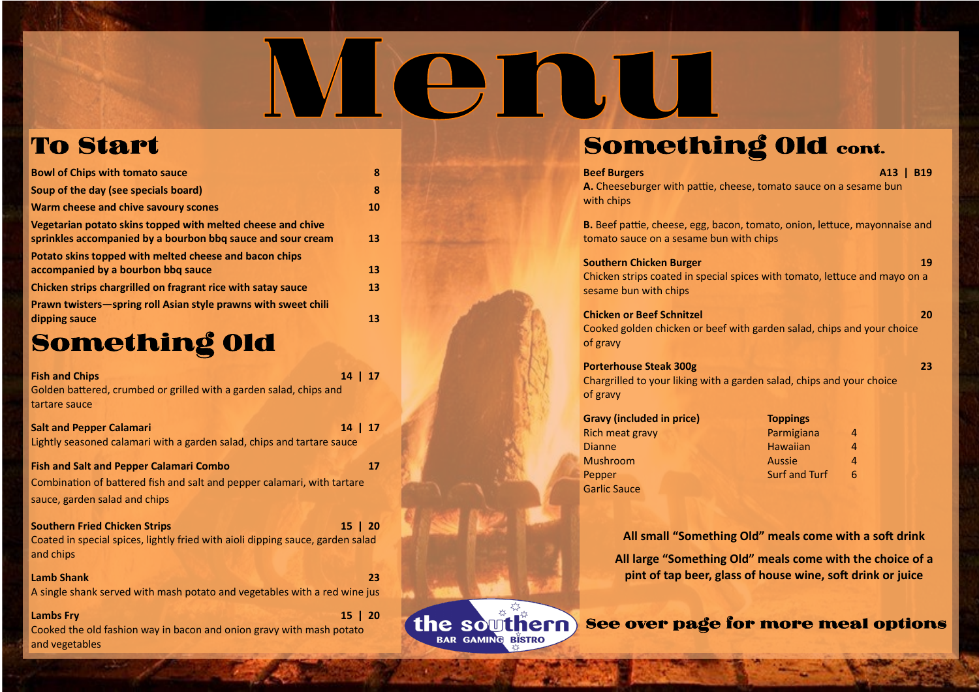See over page for more meal options



### To Start

| <b>Bowl of Chips with tomato sauce</b>                                                                                     | 8  |
|----------------------------------------------------------------------------------------------------------------------------|----|
| Soup of the day (see specials board)                                                                                       | 8  |
| Warm cheese and chive savoury scones                                                                                       | 10 |
| Vegetarian potato skins topped with melted cheese and chive<br>sprinkles accompanied by a bourbon bbq sauce and sour cream | 13 |
| Potato skins topped with melted cheese and bacon chips<br>accompanied by a bourbon bbq sauce                               | 13 |
| Chicken strips chargrilled on fragrant rice with satay sauce                                                               | 13 |
| Prawn twisters-spring roll Asian style prawns with sweet chili                                                             |    |
| dipping sauce                                                                                                              | 13 |

### Something Old

**Southern Chicken Burger 19** Chicken strips coated in special spices with tomato, lettuce and mayo on a sesame bun with chips

| 14   17<br><b>Fish and Chips</b>                                               |    |  |
|--------------------------------------------------------------------------------|----|--|
| Golden battered, crumbed or grilled with a garden salad, chips and             |    |  |
| tartare sauce                                                                  |    |  |
| <b>Salt and Pepper Calamari</b><br>14                                          | 17 |  |
| Lightly seasoned calamari with a garden salad, chips and tartare sauce         |    |  |
| <b>Fish and Salt and Pepper Calamari Combo</b>                                 | 17 |  |
| Combination of battered fish and salt and pepper calamari, with tartare        |    |  |
| sauce, garden salad and chips                                                  |    |  |
| <b>Southern Fried Chicken Strips</b><br>$15 \mid 20$                           |    |  |
| Coated in special spices, lightly fried with aioli dipping sauce, garden salad |    |  |
| and chips                                                                      |    |  |
| <b>Lamb Shank</b>                                                              | 23 |  |
| A single shank served with mash potato and vegetables with a red wine jus      |    |  |
| 15   20<br><b>Lambs Fry</b>                                                    |    |  |
| Cooked the old fashion way in bacon and onion gravy with mash potato           |    |  |
| and vegetables                                                                 |    |  |

### Something Old cont.

Menu

the southern **BAR GAMING BISTRO** 

Rich meat gravy Dianne Mushroom Pepper Garlic Sauce

**Beef Burgers A13 | B19 A.** Cheeseburger with pattie, cheese, tomato sauce on a sesame bun

with chips

**B.** Beef pattie, cheese, egg, bacon, tomato, onion, lettuce, mayonnaise and tomato sauce on a sesame bun with chips

**Chicken or Beef Schnitzel 20** Cooked golden chicken or beef with garden salad, chips and your choice of gravy

**Porterhouse Steak 300g 23** Chargrilled to your liking with a garden salad, chips and your choice of gravy

**Gravy (included in price)** 

| <b>Toppings</b>      |   |
|----------------------|---|
| Parmigiana           | 4 |
| <b>Hawaiian</b>      | 4 |
| <b>Aussie</b>        | 4 |
| <b>Surf and Turf</b> | 6 |

**All small "Something Old" meals come with a soft drink All large "Something Old" meals come with the choice of a pint of tap beer, glass of house wine, soft drink or juice**